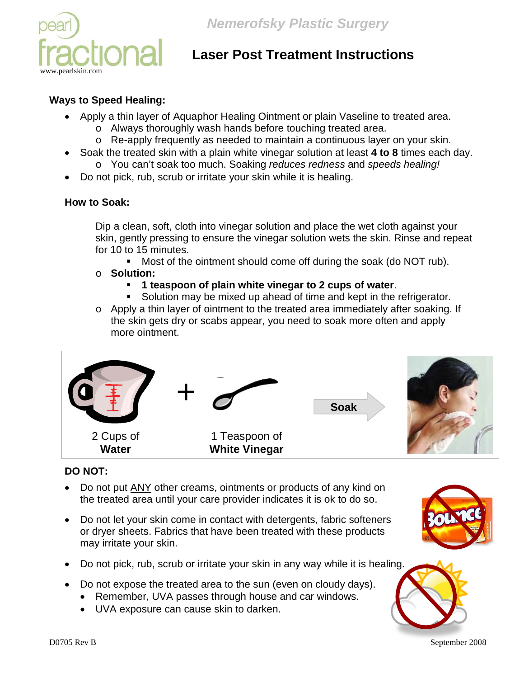

# **Laser Post Treatment Instructions**

### **Ways to Speed Healing:**

- Apply a thin layer of Aquaphor Healing Ointment or plain Vaseline to treated area.
	- o Always thoroughly wash hands before touching treated area.
	- o Re-apply frequently as needed to maintain a continuous layer on your skin.
- Soak the treated skin with a plain white vinegar solution at least **4 to 8** times each day. o You can't soak too much. Soaking *reduces redness* and *speeds healing!*
- Do not pick, rub, scrub or irritate your skin while it is healing.

#### **How to Soak:**

Dip a clean, soft, cloth into vinegar solution and place the wet cloth against your skin, gently pressing to ensure the vinegar solution wets the skin. Rinse and repeat for 10 to 15 minutes.

**Most of the ointment should come off during the soak (do NOT rub).** 

#### o **Solution:**

- **1 teaspoon of plain white vinegar to 2 cups of water**.
- Solution may be mixed up ahead of time and kept in the refrigerator.
- o Apply a thin layer of ointment to the treated area immediately after soaking. If the skin gets dry or scabs appear, you need to soak more often and apply more ointment.



## **DO NOT:**

- Do not put ANY other creams, ointments or products of any kind on the treated area until your care provider indicates it is ok to do so.
- Do not let your skin come in contact with detergents, fabric softeners or dryer sheets. Fabrics that have been treated with these products may irritate your skin.
- Do not pick, rub, scrub or irritate your skin in any way while it is healing.
- Do not expose the treated area to the sun (even on cloudy days).
	- Remember, UVA passes through house and car windows.
	- UVA exposure can cause skin to darken.





D0705 Rev B September 2008